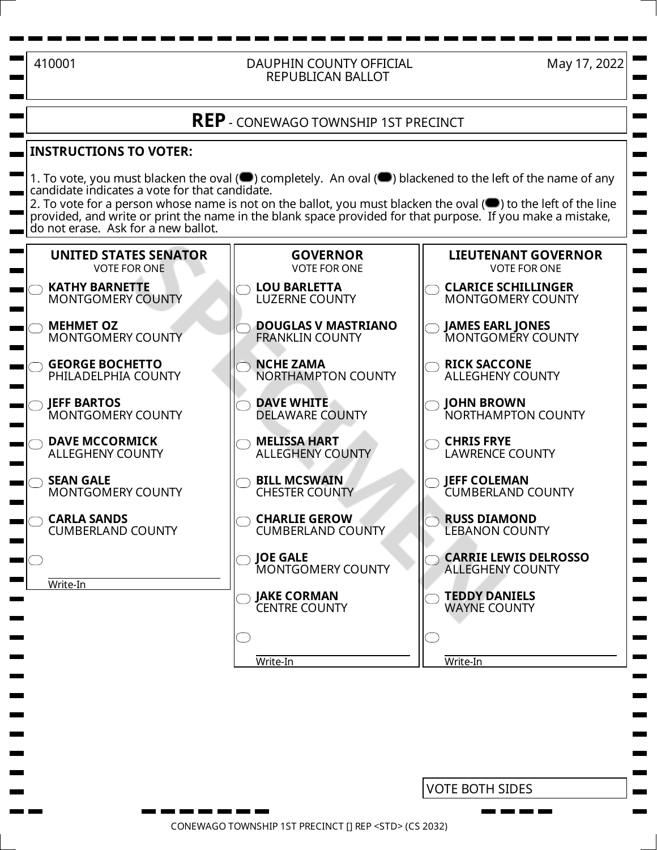## 410001 DAUPHIN COUNTY OFFICIAL REPUBLICAN BALLOT

May 17, 2022

## **REP**- CONEWAGO TOWNSHIP 1ST PRECINCT

## **INSTRUCTIONS TO VOTER:**

1. To vote, you must blacken the oval (O) completely. An oval (O) blackened to the left of the name of any candidate indicates a vote for that candidate.

2. To vote for a person whose name is not on the ballot, you must blacken the oval  $($ **)** to the left of the line provided, and write or print the name in the blank space provided for that purpose. If you make a mistake, do not erase. Ask for a new ballot.